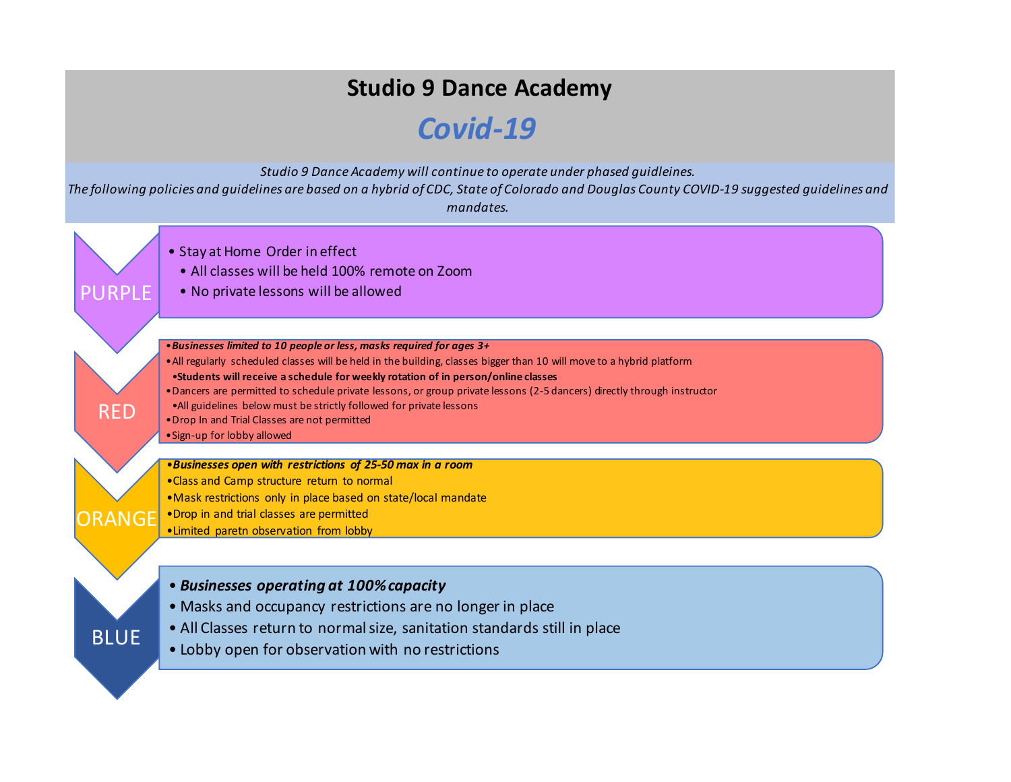## **Studio 9 Dance Academy**

## *Covid-19*

*Studio 9 Dance Academy will continue to operate under phased guidleines.* 

*The following policies and guidelines are based on a hybrid of CDC, State of Colorado and Douglas County COVID-19 suggested guidelines and mandates.*